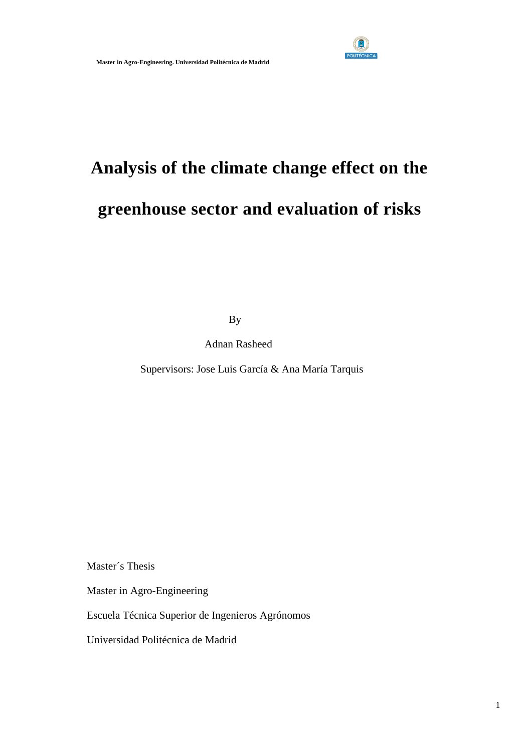

# **Analysis of the climate change effect on the greenhouse sector and evaluation of risks**

By

Adnan Rasheed

Supervisors: Jose Luis García & Ana María Tarquis

Master´s Thesis

Master in Agro-Engineering

## Escuela Técnica Superior de Ingenieros Agrónomos

Universidad Politécnica de Madrid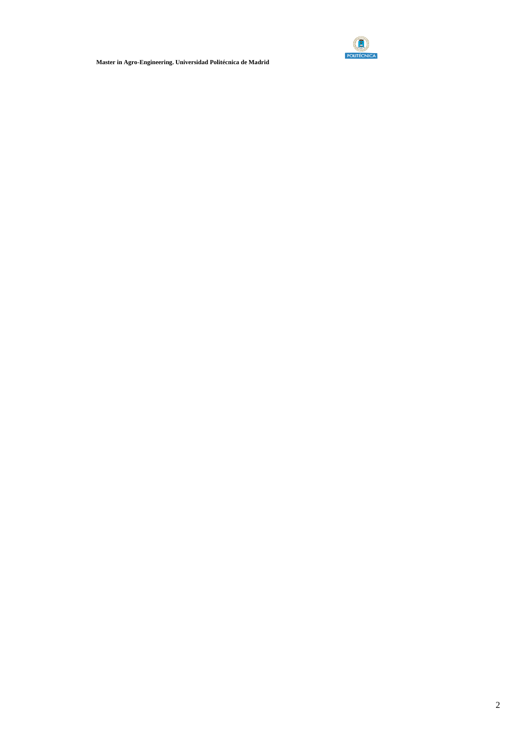**Master in Agro-Engineering. Universidad Politécnica de Madrid** 

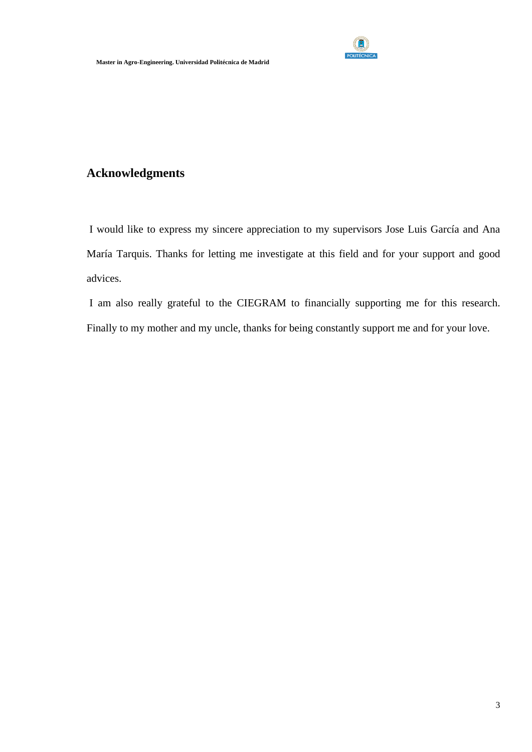

## **Acknowledgments**

I would like to express my sincere appreciation to my supervisors Jose Luis García and Ana María Tarquis. Thanks for letting me investigate at this field and for your support and good advices.

I am also really grateful to the CIEGRAM to financially supporting me for this research. Finally to my mother and my uncle, thanks for being constantly support me and for your love.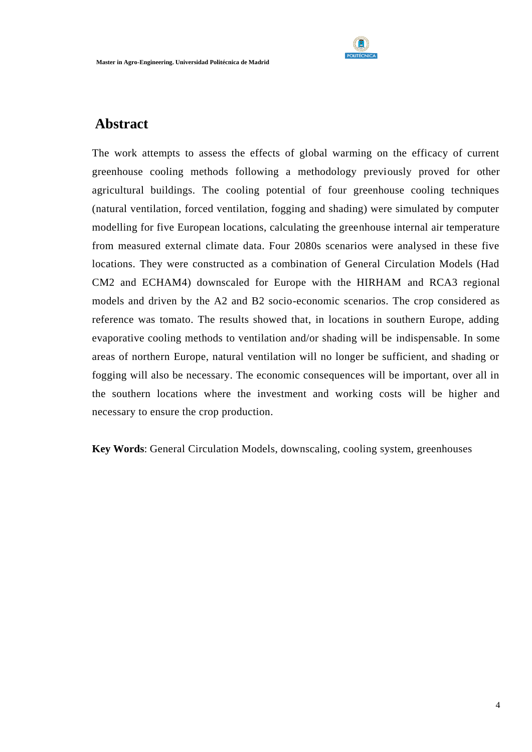

# **Abstract**

The work attempts to assess the effects of global warming on the efficacy of current greenhouse cooling methods following a methodology previously proved for other agricultural buildings. The cooling potential of four greenhouse cooling techniques (natural ventilation, forced ventilation, fogging and shading) were simulated by computer modelling for five European locations, calculating the greenhouse internal air temperature from measured external climate data. Four 2080s scenarios were analysed in these five locations. They were constructed as a combination of General Circulation Models (Had CM2 and ECHAM4) downscaled for Europe with the HIRHAM and RCA3 regional models and driven by the A2 and B2 socio-economic scenarios. The crop considered as reference was tomato. The results showed that, in locations in southern Europe, adding evaporative cooling methods to ventilation and/or shading will be indispensable. In some areas of northern Europe, natural ventilation will no longer be sufficient, and shading or fogging will also be necessary. The economic consequences will be important, over all in the southern locations where the investment and working costs will be higher and necessary to ensure the crop production.

**Key Words**: General Circulation Models, downscaling, cooling system, greenhouses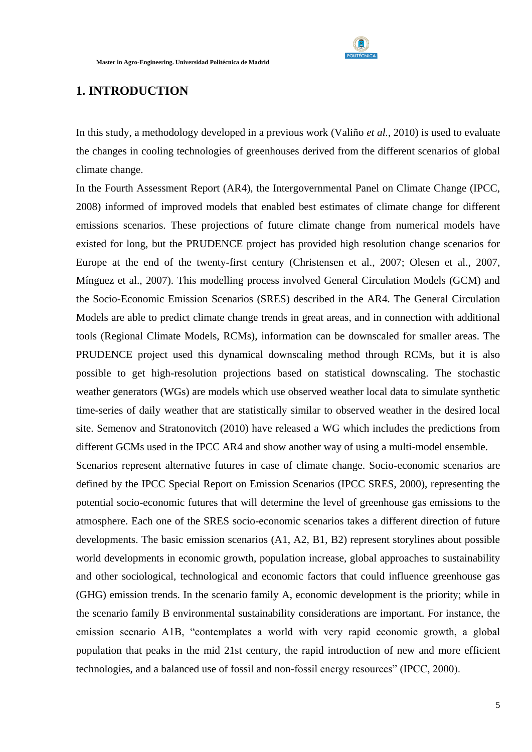

## **1. INTRODUCTION**

In this study, a methodology developed in a previous work (Valiño *et al.*, 2010) is used to evaluate the changes in cooling technologies of greenhouses derived from the different scenarios of global climate change.

In the Fourth Assessment Report (AR4), the Intergovernmental Panel on Climate Change (IPCC, 2008) informed of improved models that enabled best estimates of climate change for different emissions scenarios. These projections of future climate change from numerical models have existed for long, but the PRUDENCE project has provided high resolution change scenarios for Europe at the end of the twenty-first century (Christensen et al., 2007; Olesen et al., 2007, Mínguez et al., 2007). This modelling process involved General Circulation Models (GCM) and the Socio-Economic Emission Scenarios (SRES) described in the AR4. The General Circulation Models are able to predict climate change trends in great areas, and in connection with additional tools (Regional Climate Models, RCMs), information can be downscaled for smaller areas. The PRUDENCE project used this dynamical downscaling method through RCMs, but it is also possible to get high-resolution projections based on statistical downscaling. The stochastic weather generators (WGs) are models which use observed weather local data to simulate synthetic time-series of daily weather that are statistically similar to observed weather in the desired local site. Semenov and Stratonovitch (2010) have released a WG which includes the predictions from different GCMs used in the IPCC AR4 and show another way of using a multi-model ensemble.

Scenarios represent alternative futures in case of climate change. Socio-economic scenarios are defined by the IPCC Special Report on Emission Scenarios (IPCC SRES, 2000), representing the potential socio-economic futures that will determine the level of greenhouse gas emissions to the atmosphere. Each one of the SRES socio-economic scenarios takes a different direction of future developments. The basic emission scenarios (A1, A2, B1, B2) represent storylines about possible world developments in economic growth, population increase, global approaches to sustainability and other sociological, technological and economic factors that could influence greenhouse gas (GHG) emission trends. In the scenario family A, economic development is the priority; while in the scenario family B environmental sustainability considerations are important. For instance, the emission scenario A1B, "contemplates a world with very rapid economic growth, a global population that peaks in the mid 21st century, the rapid introduction of new and more efficient technologies, and a balanced use of fossil and non-fossil energy resources" (IPCC, 2000).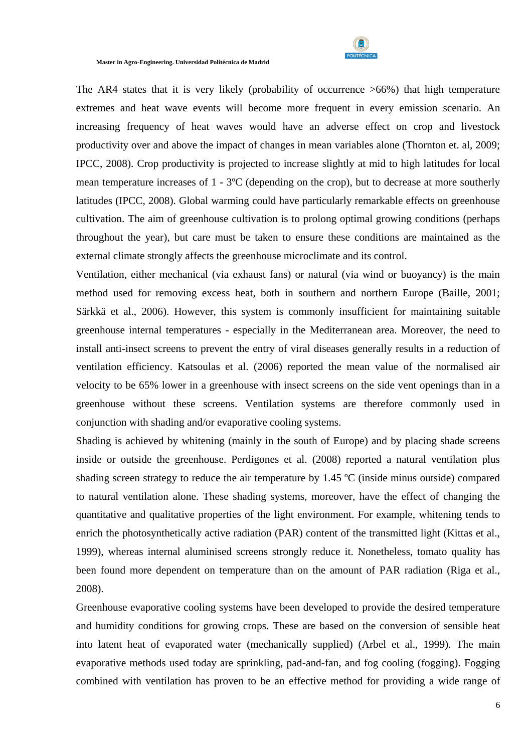

 **Master in Agro-Engineering. Universidad Politécnica de Madrid** 

The AR4 states that it is very likely (probability of occurrence >66%) that high temperature extremes and heat wave events will become more frequent in every emission scenario. An increasing frequency of heat waves would have an adverse effect on crop and livestock productivity over and above the impact of changes in mean variables alone (Thornton et. al, 2009; IPCC, 2008). Crop productivity is projected to increase slightly at mid to high latitudes for local mean temperature increases of 1 - 3ºC (depending on the crop), but to decrease at more southerly latitudes (IPCC, 2008). Global warming could have particularly remarkable effects on greenhouse cultivation. The aim of greenhouse cultivation is to prolong optimal growing conditions (perhaps throughout the year), but care must be taken to ensure these conditions are maintained as the external climate strongly affects the greenhouse microclimate and its control.

Ventilation, either mechanical (via exhaust fans) or natural (via wind or buoyancy) is the main method used for removing excess heat, both in southern and northern Europe (Baille, 2001; Särkkä et al., 2006). However, this system is commonly insufficient for maintaining suitable greenhouse internal temperatures - especially in the Mediterranean area. Moreover, the need to install anti-insect screens to prevent the entry of viral diseases generally results in a reduction of ventilation efficiency. Katsoulas et al. (2006) reported the mean value of the normalised air velocity to be 65% lower in a greenhouse with insect screens on the side vent openings than in a greenhouse without these screens. Ventilation systems are therefore commonly used in conjunction with shading and/or evaporative cooling systems.

Shading is achieved by whitening (mainly in the south of Europe) and by placing shade screens inside or outside the greenhouse. Perdigones et al. (2008) reported a natural ventilation plus shading screen strategy to reduce the air temperature by 1.45 ºC (inside minus outside) compared to natural ventilation alone. These shading systems, moreover, have the effect of changing the quantitative and qualitative properties of the light environment. For example, whitening tends to enrich the photosynthetically active radiation (PAR) content of the transmitted light (Kittas et al., 1999), whereas internal aluminised screens strongly reduce it. Nonetheless, tomato quality has been found more dependent on temperature than on the amount of PAR radiation (Riga et al., 2008).

Greenhouse evaporative cooling systems have been developed to provide the desired temperature and humidity conditions for growing crops. These are based on the conversion of sensible heat into latent heat of evaporated water (mechanically supplied) (Arbel et al., 1999). The main evaporative methods used today are sprinkling, pad-and-fan, and fog cooling (fogging). Fogging combined with ventilation has proven to be an effective method for providing a wide range of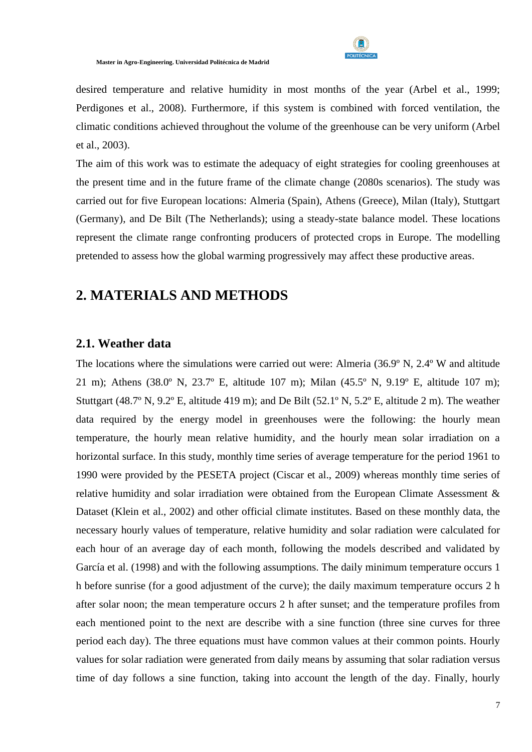

desired temperature and relative humidity in most months of the year (Arbel et al., 1999; Perdigones et al., 2008). Furthermore, if this system is combined with forced ventilation, the climatic conditions achieved throughout the volume of the greenhouse can be very uniform (Arbel et al., 2003).

The aim of this work was to estimate the adequacy of eight strategies for cooling greenhouses at the present time and in the future frame of the climate change (2080s scenarios). The study was carried out for five European locations: Almeria (Spain), Athens (Greece), Milan (Italy), Stuttgart (Germany), and De Bilt (The Netherlands); using a steady-state balance model. These locations represent the climate range confronting producers of protected crops in Europe. The modelling pretended to assess how the global warming progressively may affect these productive areas.

# **2. MATERIALS AND METHODS**

## **2.1. Weather data**

The locations where the simulations were carried out were: Almeria (36.9º N, 2.4º W and altitude 21 m); Athens (38.0º N, 23.7º E, altitude 107 m); Milan (45.5º N, 9.19º E, altitude 107 m); Stuttgart (48.7º N, 9.2º E, altitude 419 m); and De Bilt (52.1º N, 5.2º E, altitude 2 m). The weather data required by the energy model in greenhouses were the following: the hourly mean temperature, the hourly mean relative humidity, and the hourly mean solar irradiation on a horizontal surface. In this study, monthly time series of average temperature for the period 1961 to 1990 were provided by the PESETA project (Ciscar et al., 2009) whereas monthly time series of relative humidity and solar irradiation were obtained from the European Climate Assessment & Dataset (Klein et al., 2002) and other official climate institutes. Based on these monthly data, the necessary hourly values of temperature, relative humidity and solar radiation were calculated for each hour of an average day of each month, following the models described and validated by García et al. (1998) and with the following assumptions. The daily minimum temperature occurs 1 h before sunrise (for a good adjustment of the curve); the daily maximum temperature occurs 2 h after solar noon; the mean temperature occurs 2 h after sunset; and the temperature profiles from each mentioned point to the next are describe with a sine function (three sine curves for three period each day). The three equations must have common values at their common points. Hourly values for solar radiation were generated from daily means by assuming that solar radiation versus time of day follows a sine function, taking into account the length of the day. Finally, hourly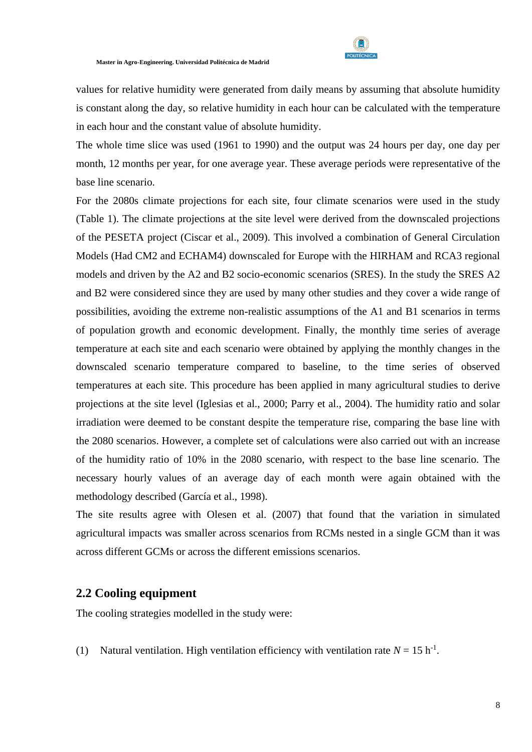

values for relative humidity were generated from daily means by assuming that absolute humidity is constant along the day, so relative humidity in each hour can be calculated with the temperature in each hour and the constant value of absolute humidity.

The whole time slice was used (1961 to 1990) and the output was 24 hours per day, one day per month, 12 months per year, for one average year. These average periods were representative of the base line scenario.

For the 2080s climate projections for each site, four climate scenarios were used in the study (Table 1). The climate projections at the site level were derived from the downscaled projections of the PESETA project (Ciscar et al., 2009). This involved a combination of General Circulation Models (Had CM2 and ECHAM4) downscaled for Europe with the HIRHAM and RCA3 regional models and driven by the A2 and B2 socio-economic scenarios (SRES). In the study the SRES A2 and B2 were considered since they are used by many other studies and they cover a wide range of possibilities, avoiding the extreme non-realistic assumptions of the A1 and B1 scenarios in terms of population growth and economic development. Finally, the monthly time series of average temperature at each site and each scenario were obtained by applying the monthly changes in the downscaled scenario temperature compared to baseline, to the time series of observed temperatures at each site. This procedure has been applied in many agricultural studies to derive projections at the site level (Iglesias et al., 2000; Parry et al., 2004). The humidity ratio and solar irradiation were deemed to be constant despite the temperature rise, comparing the base line with the 2080 scenarios. However, a complete set of calculations were also carried out with an increase of the humidity ratio of 10% in the 2080 scenario, with respect to the base line scenario. The necessary hourly values of an average day of each month were again obtained with the methodology described (García et al., 1998).

The site results agree with Olesen et al. (2007) that found that the variation in simulated agricultural impacts was smaller across scenarios from RCMs nested in a single GCM than it was across different GCMs or across the different emissions scenarios.

## **2.2 Cooling equipment**

The cooling strategies modelled in the study were:

(1) Natural ventilation. High ventilation efficiency with ventilation rate  $N = 15$  h<sup>-1</sup>.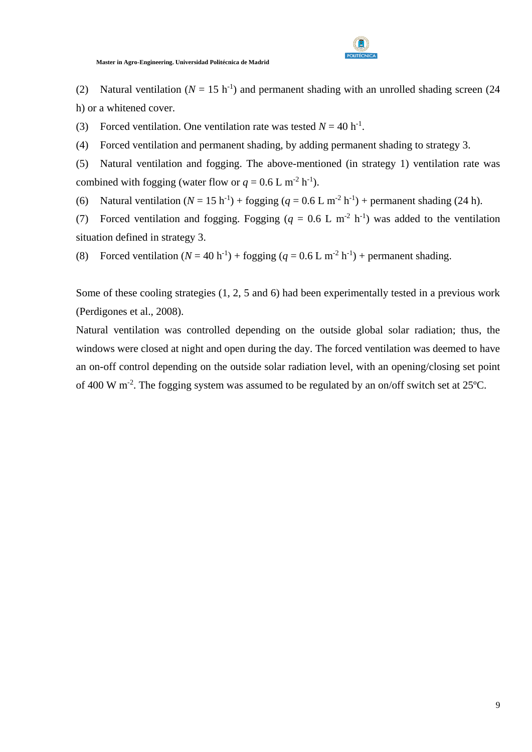

(2) Natural ventilation ( $N = 15$  h<sup>-1</sup>) and permanent shading with an unrolled shading screen (24) h) or a whitened cover.

(3) Forced ventilation. One ventilation rate was tested  $N = 40$  h<sup>-1</sup>.

(4) Forced ventilation and permanent shading, by adding permanent shading to strategy 3.

(5) Natural ventilation and fogging. The above-mentioned (in strategy 1) ventilation rate was combined with fogging (water flow or  $q = 0.6$  L m<sup>-2</sup> h<sup>-1</sup>).

(6) Natural ventilation  $(N = 15 \text{ h}^{-1})$  + fogging  $(q = 0.6 \text{ L m}^{-2} \text{ h}^{-1})$  + permanent shading (24 h).

(7) Forced ventilation and fogging. Fogging ( $q = 0.6$  L m<sup>-2</sup> h<sup>-1</sup>) was added to the ventilation situation defined in strategy 3.

(8) Forced ventilation  $(N = 40 \text{ h}^{-1})$  + fogging  $(q = 0.6 \text{ L m}^{-2} \text{ h}^{-1})$  + permanent shading.

Some of these cooling strategies (1, 2, 5 and 6) had been experimentally tested in a previous work (Perdigones et al., 2008).

Natural ventilation was controlled depending on the outside global solar radiation; thus, the windows were closed at night and open during the day. The forced ventilation was deemed to have an on-off control depending on the outside solar radiation level, with an opening/closing set point of 400 W m<sup>-2</sup>. The fogging system was assumed to be regulated by an on/off switch set at  $25^{\circ}$ C.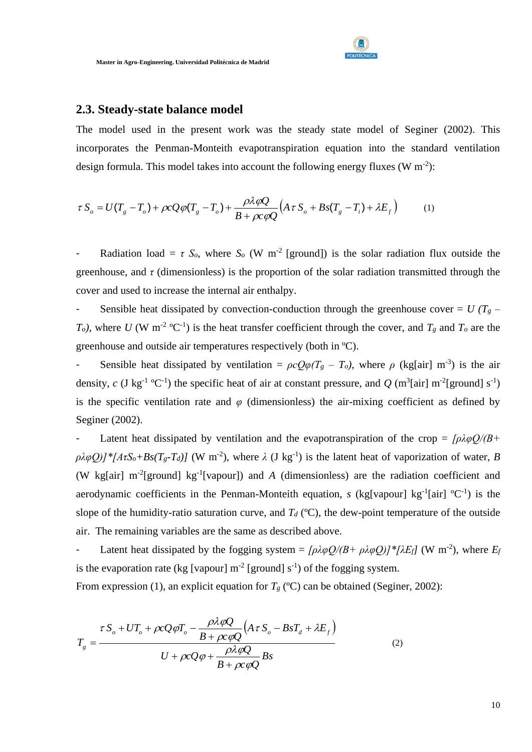

#### **2.3. Steady-state balance model**

The model used in the present work was the steady state model of Seginer (2002). This incorporates the Penman-Monteith evapotranspiration equation into the standard ventilation design formula. This model takes into account the following energy fluxes  $(W m<sup>-2</sup>)$ :

$$
\tau S_o = U(T_g - T_o) + \rho c Q \varphi (T_g - T_o) + \frac{\rho \lambda \varphi Q}{B + \rho c \varphi Q} \left( A \tau S_o + B s (T_g - T_i) + \lambda E_f \right)
$$
(1)

Radiation load =  $\tau S_o$ , where  $S_o$  (W m<sup>-2</sup> [ground]) is the solar radiation flux outside the greenhouse, and *τ* (dimensionless) is the proportion of the solar radiation transmitted through the cover and used to increase the internal air enthalpy.

Sensible heat dissipated by convection-conduction through the greenhouse cover = *U* ( $T_g$  – *T*<sup>o</sup><sup>*)*</sup>, where *U* (W m<sup>-2</sup> °C<sup>-1</sup>) is the heat transfer coefficient through the cover, and  $T_g$  and  $T_o$  are the greenhouse and outside air temperatures respectively (both in ºC).

- Sensible heat dissipated by ventilation =  $\rho cQ\varphi(T_g - T_o)$ , where  $\rho$  (kg[air] m<sup>-3</sup>) is the air density, *c* (J kg<sup>-1</sup> °C<sup>-1</sup>) the specific heat of air at constant pressure, and *Q* (m<sup>3</sup>[air] m<sup>-2</sup>[ground] s<sup>-1</sup>) is the specific ventilation rate and  $\varphi$  (dimensionless) the air-mixing coefficient as defined by Seginer (2002).

Latent heat dissipated by ventilation and the evapotranspiration of the crop =  $\sqrt{\rho} \frac{\partial \phi}{\partial T}$  $\rho \lambda \varphi Q$ )]\* $\Lambda \tau S_o + B s (T_g - T_d)$ ] (W m<sup>-2</sup>), where  $\lambda$  (J kg<sup>-1</sup>) is the latent heat of vaporization of water, *B* (W kg[air]  $m^{-2}$ [ground] kg<sup>-1</sup>[vapour]) and *A* (dimensionless) are the radiation coefficient and aerodynamic coefficients in the Penman-Monteith equation, *s* (kg[vapour] kg<sup>-1</sup>[air]  $^{\circ}C^{-1}$ ) is the slope of the humidity-ratio saturation curve, and  $T_d$  ( $\degree$ C), the dew-point temperature of the outside air. The remaining variables are the same as described above.

- Latent heat dissipated by the fogging system =  $[\rho \lambda \varphi Q/(B + \rho \lambda \varphi Q)]^* [\lambda E_f]$  (W m<sup>-2</sup>), where  $E_f$ is the evaporation rate (kg [vapour]  $m^{-2}$  [ground]  $s^{-1}$ ) of the fogging system.

From expression (1), an explicit equation for  $T_g$  ( $\degree$ C) can be obtained (Seginer, 2002):

$$
T_g = \frac{\tau S_o + UT_o + \rho c Q \varphi T_o - \frac{\rho \lambda \varphi Q}{B + \rho c \varphi Q} \left( A \tau S_o - B s T_d + \lambda E_f \right)}{U + \rho c Q \varphi + \frac{\rho \lambda \varphi Q}{B + \rho c \varphi Q} B s}
$$
(2)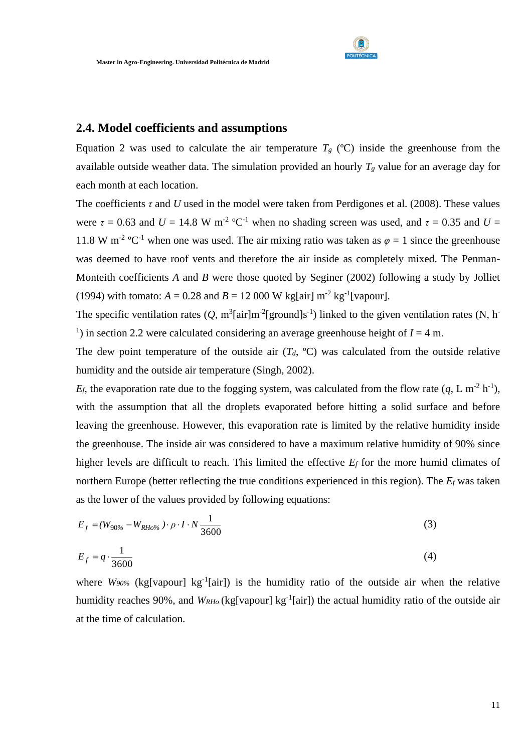

#### **2.4. Model coefficients and assumptions**

Equation 2 was used to calculate the air temperature  $T_g$  ( $\degree$ C) inside the greenhouse from the available outside weather data. The simulation provided an hourly *T<sup>g</sup>* value for an average day for each month at each location.

The coefficients  $\tau$  and  $U$  used in the model were taken from Perdigones et al. (2008). These values were  $\tau = 0.63$  and  $U = 14.8$  W m<sup>-2</sup> °C<sup>-1</sup> when no shading screen was used, and  $\tau = 0.35$  and  $U =$ 11.8 W m<sup>-2</sup> °C<sup>-1</sup> when one was used. The air mixing ratio was taken as  $\varphi = 1$  since the greenhouse was deemed to have roof vents and therefore the air inside as completely mixed. The Penman-Monteith coefficients *A* and *B* were those quoted by Seginer (2002) following a study by Jolliet (1994) with tomato:  $A = 0.28$  and  $B = 12,000$  W kg[air] m<sup>-2</sup> kg<sup>-1</sup>[vapour].

The specific ventilation rates  $(Q, m^3$ [air]m<sup>-2</sup>[ground]s<sup>-1</sup>) linked to the given ventilation rates (N, h<sup>-1</sup>) <sup>1</sup>) in section 2.2 were calculated considering an average greenhouse height of  $I = 4$  m.

The dew point temperature of the outside air  $(T_d, {}^{\circ}C)$  was calculated from the outside relative humidity and the outside air temperature (Singh, 2002).

 $E_f$ , the evaporation rate due to the fogging system, was calculated from the flow rate  $(q, L m^{-2} h^{-1})$ , with the assumption that all the droplets evaporated before hitting a solid surface and before leaving the greenhouse. However, this evaporation rate is limited by the relative humidity inside the greenhouse. The inside air was considered to have a maximum relative humidity of 90% since higher levels are difficult to reach. This limited the effective *E<sup>f</sup>* for the more humid climates of northern Europe (better reflecting the true conditions experienced in this region). The  $E_f$  was taken as the lower of the values provided by following equations:

$$
E_f = (W_{90\%} - W_{RHo\%}) \cdot \rho \cdot I \cdot N \frac{1}{3600}
$$
 (3)

$$
E_f = q \cdot \frac{1}{3600} \tag{4}
$$

where  $W_{90\%}$  (kg[vapour] kg<sup>-1</sup>[air]) is the humidity ratio of the outside air when the relative humidity reaches 90%, and *W<sub>RHo</sub>* (kg[vapour] kg<sup>-1</sup>[air]) the actual humidity ratio of the outside air at the time of calculation.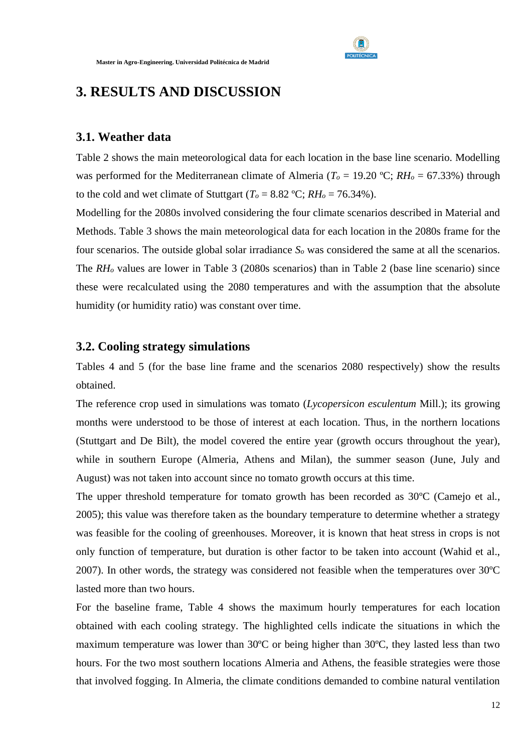**Master in Agro-Engineering. Universidad Politécnica de Madrid** 



# **3. RESULTS AND DISCUSSION**

#### **3.1. Weather data**

Table 2 shows the main meteorological data for each location in the base line scenario. Modelling was performed for the Mediterranean climate of Almeria ( $T<sub>o</sub> = 19.20$  °C;  $RH<sub>o</sub> = 67.33\%$ ) through to the cold and wet climate of Stuttgart ( $T_o = 8.82 \text{ °C}$ ;  $RH_o = 76.34\text{ °C}$ ).

Modelling for the 2080s involved considering the four climate scenarios described in Material and Methods. Table 3 shows the main meteorological data for each location in the 2080s frame for the four scenarios. The outside global solar irradiance *S<sup>o</sup>* was considered the same at all the scenarios. The *RH<sup>o</sup>* values are lower in Table 3 (2080s scenarios) than in Table 2 (base line scenario) since these were recalculated using the 2080 temperatures and with the assumption that the absolute humidity (or humidity ratio) was constant over time.

#### **3.2. Cooling strategy simulations**

Tables 4 and 5 (for the base line frame and the scenarios 2080 respectively) show the results obtained.

The reference crop used in simulations was tomato (*Lycopersicon esculentum* Mill.); its growing months were understood to be those of interest at each location. Thus, in the northern locations (Stuttgart and De Bilt), the model covered the entire year (growth occurs throughout the year), while in southern Europe (Almeria, Athens and Milan), the summer season (June, July and August) was not taken into account since no tomato growth occurs at this time.

The upper threshold temperature for tomato growth has been recorded as 30ºC (Camejo et al*.*, 2005); this value was therefore taken as the boundary temperature to determine whether a strategy was feasible for the cooling of greenhouses. Moreover, it is known that heat stress in crops is not only function of temperature, but duration is other factor to be taken into account (Wahid et al., 2007). In other words, the strategy was considered not feasible when the temperatures over 30ºC lasted more than two hours.

For the baseline frame, Table 4 shows the maximum hourly temperatures for each location obtained with each cooling strategy. The highlighted cells indicate the situations in which the maximum temperature was lower than 30ºC or being higher than 30ºC, they lasted less than two hours. For the two most southern locations Almeria and Athens, the feasible strategies were those that involved fogging. In Almeria, the climate conditions demanded to combine natural ventilation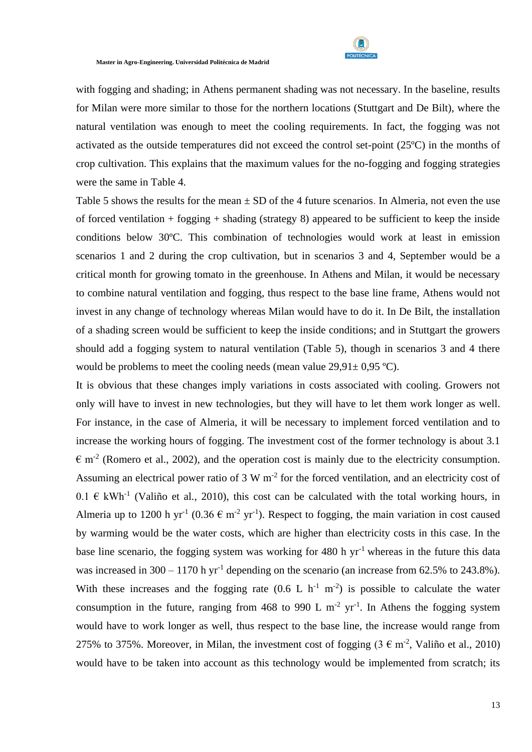

with fogging and shading; in Athens permanent shading was not necessary. In the baseline, results for Milan were more similar to those for the northern locations (Stuttgart and De Bilt), where the natural ventilation was enough to meet the cooling requirements. In fact, the fogging was not activated as the outside temperatures did not exceed the control set-point (25ºC) in the months of crop cultivation. This explains that the maximum values for the no-fogging and fogging strategies were the same in Table 4.

Table 5 shows the results for the mean  $\pm$  SD of the 4 future scenarios. In Almeria, not even the use of forced ventilation + fogging + shading (strategy 8) appeared to be sufficient to keep the inside conditions below 30ºC. This combination of technologies would work at least in emission scenarios 1 and 2 during the crop cultivation, but in scenarios 3 and 4, September would be a critical month for growing tomato in the greenhouse. In Athens and Milan, it would be necessary to combine natural ventilation and fogging, thus respect to the base line frame, Athens would not invest in any change of technology whereas Milan would have to do it. In De Bilt, the installation of a shading screen would be sufficient to keep the inside conditions; and in Stuttgart the growers should add a fogging system to natural ventilation (Table 5), though in scenarios 3 and 4 there would be problems to meet the cooling needs (mean value  $29.91 \pm 0.95$  °C).

It is obvious that these changes imply variations in costs associated with cooling. Growers not only will have to invest in new technologies, but they will have to let them work longer as well. For instance, in the case of Almeria, it will be necessary to implement forced ventilation and to increase the working hours of fogging. The investment cost of the former technology is about 3.1  $\epsilon$  m<sup>-2</sup> (Romero et al., 2002), and the operation cost is mainly due to the electricity consumption. Assuming an electrical power ratio of  $3 \text{ W m}^2$  for the forced ventilation, and an electricity cost of  $0.1 \in kWh^{-1}$  (Valiño et al., 2010), this cost can be calculated with the total working hours, in Almeria up to 1200 h yr<sup>-1</sup> (0.36  $\epsilon$  m<sup>-2</sup> yr<sup>-1</sup>). Respect to fogging, the main variation in cost caused by warming would be the water costs, which are higher than electricity costs in this case. In the base line scenario, the fogging system was working for 480 h  $yr^{-1}$  whereas in the future this data was increased in 300 – 1170 h yr<sup>-1</sup> depending on the scenario (an increase from 62.5% to 243.8%). With these increases and the fogging rate  $(0.6 \text{ L h}^{-1} \text{ m}^{-2})$  is possible to calculate the water consumption in the future, ranging from 468 to 990 L  $m^{-2}$  yr<sup>-1</sup>. In Athens the fogging system would have to work longer as well, thus respect to the base line, the increase would range from 275% to 375%. Moreover, in Milan, the investment cost of fogging  $(3 \in m^{-2}$ , Valiño et al., 2010) would have to be taken into account as this technology would be implemented from scratch; its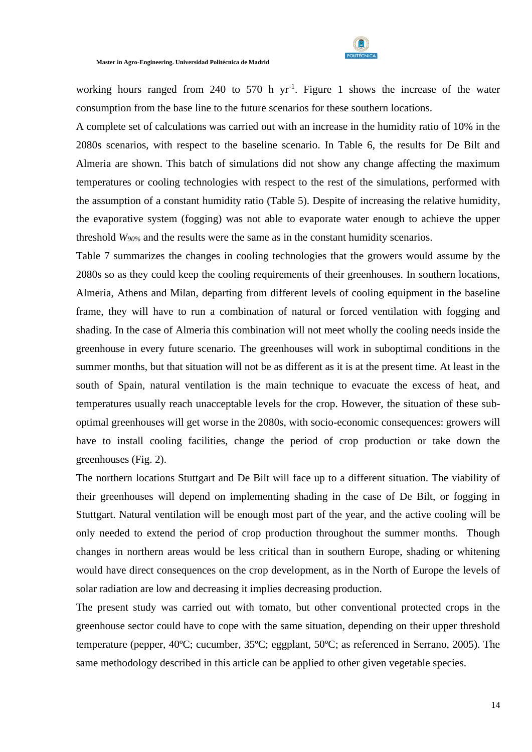

working hours ranged from 240 to 570 h  $yr^{-1}$ . Figure 1 shows the increase of the water consumption from the base line to the future scenarios for these southern locations.

A complete set of calculations was carried out with an increase in the humidity ratio of 10% in the 2080s scenarios, with respect to the baseline scenario. In Table 6, the results for De Bilt and Almeria are shown. This batch of simulations did not show any change affecting the maximum temperatures or cooling technologies with respect to the rest of the simulations, performed with the assumption of a constant humidity ratio (Table 5). Despite of increasing the relative humidity, the evaporative system (fogging) was not able to evaporate water enough to achieve the upper threshold *W90%* and the results were the same as in the constant humidity scenarios.

Table 7 summarizes the changes in cooling technologies that the growers would assume by the 2080s so as they could keep the cooling requirements of their greenhouses. In southern locations, Almeria, Athens and Milan, departing from different levels of cooling equipment in the baseline frame, they will have to run a combination of natural or forced ventilation with fogging and shading. In the case of Almeria this combination will not meet wholly the cooling needs inside the greenhouse in every future scenario. The greenhouses will work in suboptimal conditions in the summer months, but that situation will not be as different as it is at the present time. At least in the south of Spain, natural ventilation is the main technique to evacuate the excess of heat, and temperatures usually reach unacceptable levels for the crop. However, the situation of these suboptimal greenhouses will get worse in the 2080s, with socio-economic consequences: growers will have to install cooling facilities, change the period of crop production or take down the greenhouses (Fig. 2).

The northern locations Stuttgart and De Bilt will face up to a different situation. The viability of their greenhouses will depend on implementing shading in the case of De Bilt, or fogging in Stuttgart. Natural ventilation will be enough most part of the year, and the active cooling will be only needed to extend the period of crop production throughout the summer months. Though changes in northern areas would be less critical than in southern Europe, shading or whitening would have direct consequences on the crop development, as in the North of Europe the levels of solar radiation are low and decreasing it implies decreasing production.

The present study was carried out with tomato, but other conventional protected crops in the greenhouse sector could have to cope with the same situation, depending on their upper threshold temperature (pepper, 40ºC; cucumber, 35ºC; eggplant, 50ºC; as referenced in Serrano, 2005). The same methodology described in this article can be applied to other given vegetable species.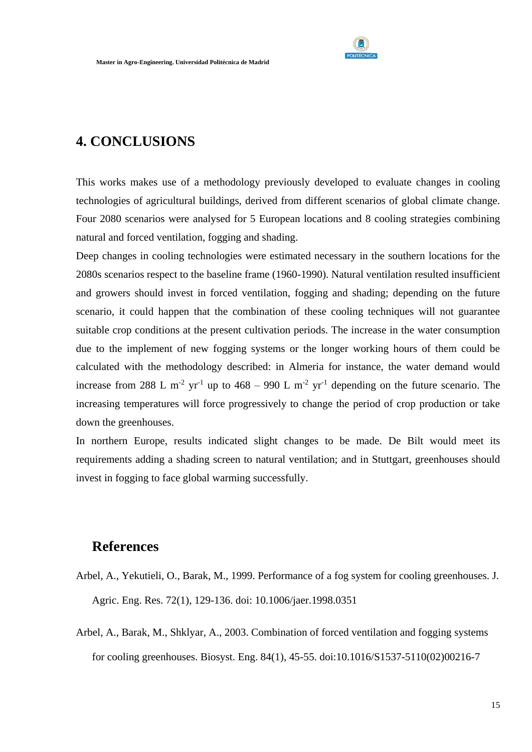

# **4. CONCLUSIONS**

This works makes use of a methodology previously developed to evaluate changes in cooling technologies of agricultural buildings, derived from different scenarios of global climate change. Four 2080 scenarios were analysed for 5 European locations and 8 cooling strategies combining natural and forced ventilation, fogging and shading.

Deep changes in cooling technologies were estimated necessary in the southern locations for the 2080s scenarios respect to the baseline frame (1960-1990). Natural ventilation resulted insufficient and growers should invest in forced ventilation, fogging and shading; depending on the future scenario, it could happen that the combination of these cooling techniques will not guarantee suitable crop conditions at the present cultivation periods. The increase in the water consumption due to the implement of new fogging systems or the longer working hours of them could be calculated with the methodology described: in Almeria for instance, the water demand would increase from 288 L m<sup>-2</sup> yr<sup>-1</sup> up to 468 – 990 L m<sup>-2</sup> yr<sup>-1</sup> depending on the future scenario. The increasing temperatures will force progressively to change the period of crop production or take down the greenhouses.

In northern Europe, results indicated slight changes to be made. De Bilt would meet its requirements adding a shading screen to natural ventilation; and in Stuttgart, greenhouses should invest in fogging to face global warming successfully.

# **References**

- Arbel, A., Yekutieli, O., Barak, M., 1999. Performance of a fog system for cooling greenhouses. J. Agric. Eng. Res. 72(1), 129-136. doi: 10.1006/jaer.1998.0351
- Arbel, A., Barak, M., Shklyar, A., 2003. Combination of forced ventilation and fogging systems for cooling greenhouses. Biosyst. Eng. 84(1), 45-55. doi:10.1016/S1537-5110(02)00216-7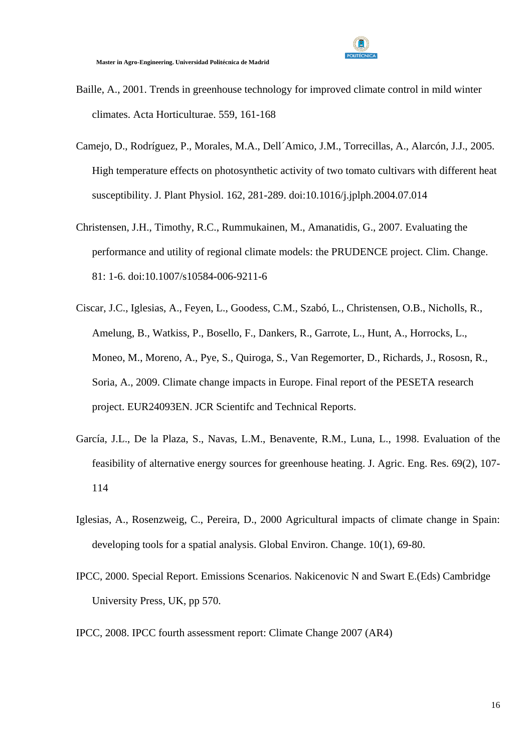

- Baille, A., 2001. Trends in greenhouse technology for improved climate control in mild winter climates. Acta Horticulturae. 559, 161-168
- Camejo, D., Rodríguez, P., Morales, M.A., Dell´Amico, J.M., Torrecillas, A., Alarcón, J.J., 2005. High temperature effects on photosynthetic activity of two tomato cultivars with different heat susceptibility. J. Plant Physiol. 162, 281-289. doi:10.1016/j.jplph.2004.07.014
- Christensen, J.H., Timothy, R.C., Rummukainen, M., Amanatidis, G., 2007. Evaluating the performance and utility of regional climate models: the PRUDENCE project. Clim. Change. 81: 1-6. doi:10.1007/s10584-006-9211-6
- Ciscar, J.C., Iglesias, A., Feyen, L., Goodess, C.M., Szabó, L., Christensen, O.B., Nicholls, R., Amelung, B., Watkiss, P., Bosello, F., Dankers, R., Garrote, L., Hunt, A., Horrocks, L., Moneo, M., Moreno, A., Pye, S., Quiroga, S., Van Regemorter, D., Richards, J., Rososn, R., Soria, A., 2009. Climate change impacts in Europe. Final report of the PESETA research project. EUR24093EN. JCR Scientifc and Technical Reports.
- García, J.L., De la Plaza, S., Navas, L.M., Benavente, R.M., Luna, L., 1998. Evaluation of the feasibility of alternative energy sources for greenhouse heating. J. Agric. Eng. Res. 69(2), 107- 114
- Iglesias, A., Rosenzweig, C., Pereira, D., 2000 Agricultural impacts of climate change in Spain: developing tools for a spatial analysis. Global Environ. Change. 10(1), 69-80.
- IPCC, 2000. Special Report. Emissions Scenarios. Nakicenovic N and Swart E.(Eds) Cambridge University Press, UK, pp 570.
- IPCC, 2008. IPCC fourth assessment report: Climate Change 2007 (AR4)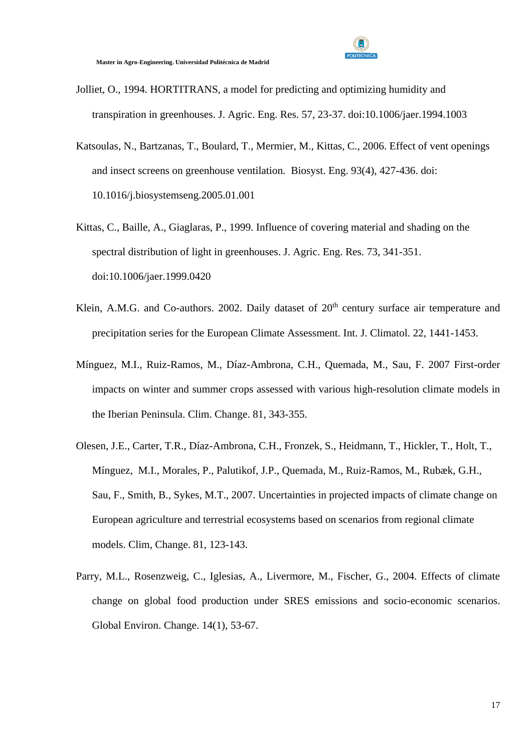

- Jolliet, O., 1994. HORTITRANS, a model for predicting and optimizing humidity and transpiration in greenhouses. J. Agric. Eng. Res. 57, 23-37. doi:10.1006/jaer.1994.1003
- Katsoulas, N., Bartzanas, T., Boulard, T., Mermier, M., Kittas, C., 2006. Effect of vent openings and insect screens on greenhouse ventilation. Biosyst. Eng. 93(4), 427-436. doi: 10.1016/j.biosystemseng.2005.01.001
- Kittas, C., Baille, A., Giaglaras, P., 1999. Influence of covering material and shading on the spectral distribution of light in greenhouses. J. Agric. Eng. Res. 73, 341-351. doi:10.1006/jaer.1999.0420
- Klein, A.M.G. and Co-authors. 2002. Daily dataset of  $20<sup>th</sup>$  century surface air temperature and precipitation series for the European Climate Assessment. Int. J. Climatol. 22, 1441-1453.
- Mínguez, M.I., Ruiz-Ramos, M., Díaz-Ambrona, C.H., Quemada, M., Sau, F. 2007 First-order impacts on winter and summer crops assessed with various high-resolution climate models in the Iberian Peninsula. Clim. Change. 81, 343-355.
- Olesen, J.E., Carter, T.R., Díaz-Ambrona, C.H., Fronzek, S., Heidmann, T., Hickler, T., Holt, T., Mínguez, M.I., Morales, P., Palutikof, J.P., Quemada, M., Ruiz-Ramos, M., Rubæk, G.H., Sau, F., Smith, B., Sykes, M.T., 2007. Uncertainties in projected impacts of climate change on European agriculture and terrestrial ecosystems based on scenarios from regional climate models. Clim, Change. 81, 123-143.
- Parry, M.L., Rosenzweig, C., Iglesias, A., Livermore, M., Fischer, G., 2004. Effects of climate change on global food production under SRES emissions and socio-economic scenarios. Global Environ. Change. 14(1), 53-67.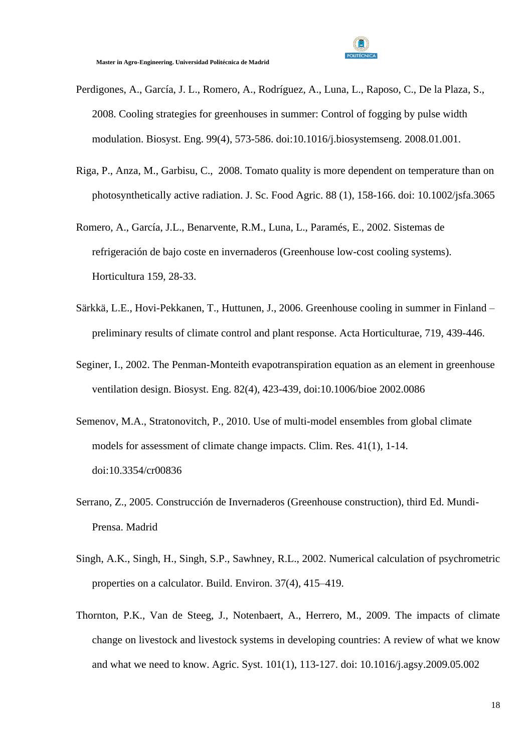- Perdigones, A., García, J. L., Romero, A., Rodríguez, A., Luna, L., Raposo, C., De la Plaza, S., 2008. Cooling strategies for greenhouses in summer: Control of fogging by pulse width modulation. Biosyst. Eng. 99(4), 573-586. doi:10.1016/j.biosystemseng. 2008.01.001.
- Riga, P., Anza, M., Garbisu, C., 2008. Tomato quality is more dependent on temperature than on photosynthetically active radiation. J. Sc. Food Agric. 88 (1), 158-166. doi: 10.1002/jsfa.3065
- Romero, A., García, J.L., Benarvente, R.M., Luna, L., Paramés, E., 2002. Sistemas de refrigeración de bajo coste en invernaderos (Greenhouse low-cost cooling systems). Horticultura 159, 28-33.
- Särkkä, L.E., Hovi-Pekkanen, T., Huttunen, J., 2006. Greenhouse cooling in summer in Finland preliminary results of climate control and plant response. Acta Horticulturae, 719, 439-446.
- Seginer, I., 2002. The Penman-Monteith evapotranspiration equation as an element in greenhouse ventilation design. Biosyst. Eng. 82(4), 423-439, doi:10.1006/bioe 2002.0086
- Semenov, M.A., Stratonovitch, P., 2010. Use of multi-model ensembles from global climate models for assessment of climate change impacts. Clim. Res. 41(1), 1-14. doi:10.3354/cr00836
- Serrano, Z., 2005. Construcción de Invernaderos (Greenhouse construction), third Ed. Mundi-Prensa. Madrid
- Singh, A.K., Singh, H., Singh, S.P., Sawhney, R.L., 2002. Numerical calculation of psychrometric properties on a calculator. Build. Environ. 37(4), 415–419.
- Thornton, P.K., Van de Steeg, J., Notenbaert, A., Herrero, M., 2009. The impacts of climate change on livestock and livestock systems in developing countries: A review of what we know and what we need to know. Agric. Syst. 101(1), 113-127. doi: 10.1016/j.agsy.2009.05.002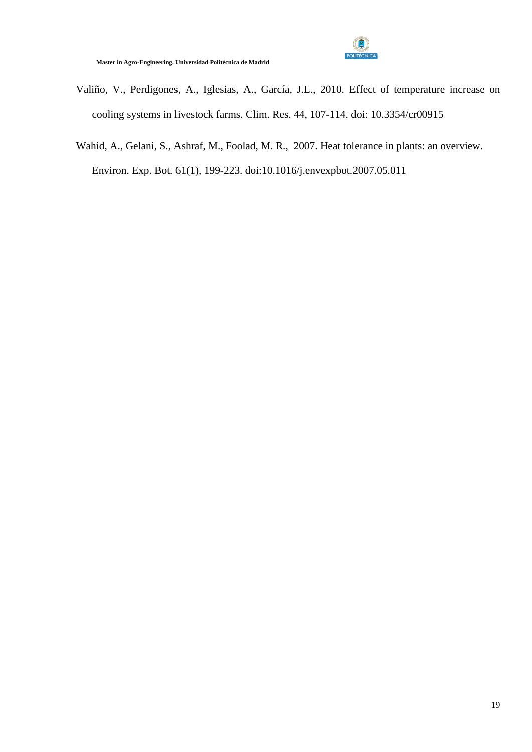

- Valiño, V., Perdigones, A., Iglesias, A., García, J.L., 2010. Effect of temperature increase on cooling systems in livestock farms. Clim. Res. 44, 107-114. doi: 10.3354/cr00915
- Wahid, A., Gelani, S., Ashraf, M., Foolad, M. R., 2007. Heat tolerance in plants: an overview. Environ. Exp. Bot. 61(1), 199-223. doi:10.1016/j.envexpbot.2007.05.011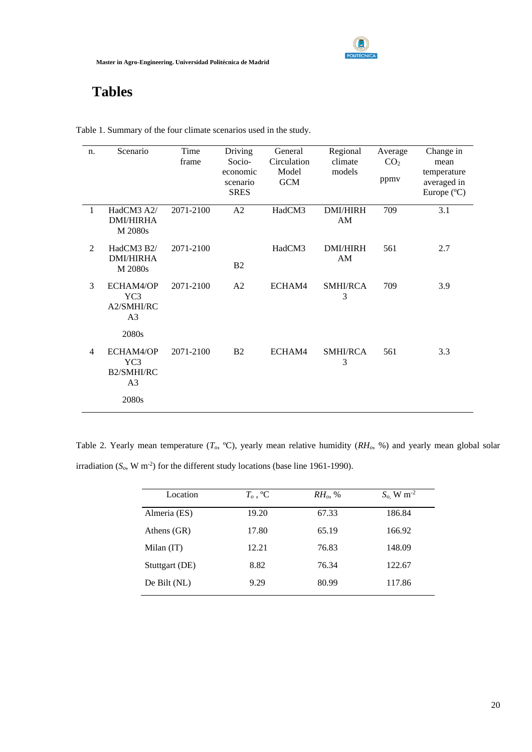

# **Tables**

Table 1. Summary of the four climate scenarios used in the study.

| n.             | Scenario                                                              | Time<br>frame | Driving<br>Socio-<br>economic<br>scenario<br><b>SRES</b> | General<br>Circulation<br>Model<br><b>GCM</b> | Regional<br>climate<br>models | Average<br>CO <sub>2</sub><br>ppmy | Change in<br>mean<br>temperature<br>averaged in<br>Europe (°C) |
|----------------|-----------------------------------------------------------------------|---------------|----------------------------------------------------------|-----------------------------------------------|-------------------------------|------------------------------------|----------------------------------------------------------------|
| -1             | HadCM3 A2/<br><b>DMI/HIRHA</b><br>M 2080s                             | 2071-2100     | A2                                                       | HadCM3                                        | <b>DMI/HIRH</b><br>AM         | 709                                | 3.1                                                            |
| 2              | HadCM3 B2/<br><b>DMI/HIRHA</b><br>M 2080s                             | 2071-2100     | B <sub>2</sub>                                           | HadCM3                                        | <b>DMI/HIRH</b><br>AM         | 561                                | 2.7                                                            |
| 3              | ECHAM4/OP<br>YC3<br>A2/SMHI/RC<br>A3<br>2080s                         | 2071-2100     | A <sub>2</sub>                                           | ECHAM4                                        | <b>SMHI/RCA</b><br>3          | 709                                | 3.9                                                            |
| $\overline{4}$ | ECHAM4/OP<br>YC <sub>3</sub><br>B2/SMHI/RC<br>A <sub>3</sub><br>2080s | 2071-2100     | B <sub>2</sub>                                           | ECHAM4                                        | SMHI/RCA<br>3                 | 561                                | 3.3                                                            |
|                |                                                                       |               |                                                          |                                               |                               |                                    |                                                                |

Table 2. Yearly mean temperature (*To*, ºC), yearly mean relative humidity (*RHo*, %) and yearly mean global solar irradiation  $(S_o, W \, m^{-2})$  for the different study locations (base line 1961-1990).

| Location       | $T_o$ , °C | $RH_o$ , % | $S_o$ , W m <sup>-2</sup> |
|----------------|------------|------------|---------------------------|
| Almeria (ES)   | 19.20      | 67.33      | 186.84                    |
| Athens (GR)    | 17.80      | 65.19      | 166.92                    |
| Milan $(T)$    | 12.21      | 76.83      | 148.09                    |
| Stuttgart (DE) | 8.82       | 76.34      | 122.67                    |
| De Bilt $(NL)$ | 9.29       | 80.99      | 117.86                    |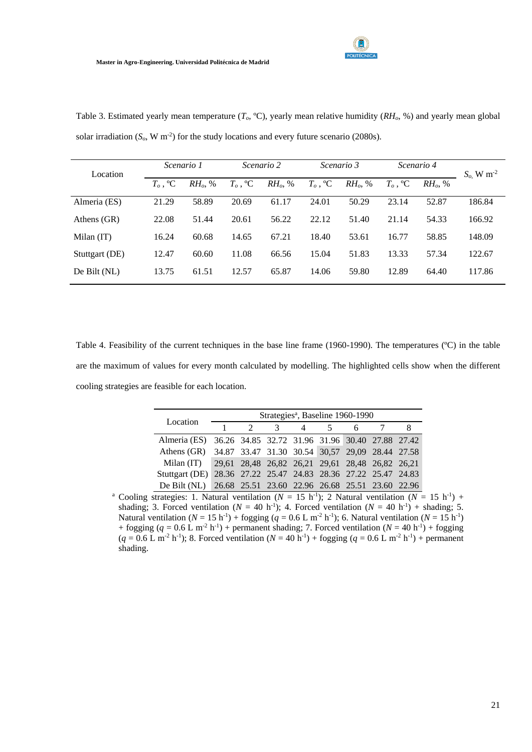| Location       | Scenario 1 |            | Scenario 2 |            | Scenario 3 |                     | Scenario 4 |                     | $S_o$ , W m <sup>-2</sup> |
|----------------|------------|------------|------------|------------|------------|---------------------|------------|---------------------|---------------------------|
|                | $T_o$ , °C | $RH_o$ , % | $T_o$ , °C | $RH_o$ , % | $T_o$ , °C | $RH_o, \mathcal{C}$ | $T_o$ , °C | $RH_o, \mathcal{C}$ |                           |
| Almeria (ES)   | 21.29      | 58.89      | 20.69      | 61.17      | 24.01      | 50.29               | 23.14      | 52.87               | 186.84                    |
| Athens (GR)    | 22.08      | 51.44      | 20.61      | 56.22      | 22.12      | 51.40               | 21.14      | 54.33               | 166.92                    |
| Milan (IT)     | 16.24      | 60.68      | 14.65      | 67.21      | 18.40      | 53.61               | 16.77      | 58.85               | 148.09                    |
| Stuttgart (DE) | 12.47      | 60.60      | 11.08      | 66.56      | 15.04      | 51.83               | 13.33      | 57.34               | 122.67                    |
| De Bilt (NL)   | 13.75      | 61.51      | 12.57      | 65.87      | 14.06      | 59.80               | 12.89      | 64.40               | 117.86                    |

Table 3. Estimated yearly mean temperature (*To*, ºC), yearly mean relative humidity (*RHo*, %) and yearly mean global solar irradiation  $(S_0, W \, \text{m}^{-2})$  for the study locations and every future scenario (2080s).

Table 4. Feasibility of the current techniques in the base line frame (1960-1990). The temperatures (ºC) in the table are the maximum of values for every month calculated by modelling. The highlighted cells show when the different cooling strategies are feasible for each location.

| Location                                                     | Strategies <sup>a</sup> , Baseline 1960-1990 |  |               |  |  |  |                                                 |  |  |
|--------------------------------------------------------------|----------------------------------------------|--|---------------|--|--|--|-------------------------------------------------|--|--|
|                                                              |                                              |  | $\mathcal{R}$ |  |  |  |                                                 |  |  |
| Almeria (ES) 36.26 34.85 32.72 31.96 31.96 30.40 27.88 27.42 |                                              |  |               |  |  |  |                                                 |  |  |
| Athens (GR) 34.87 33.47 31.30 30.54 30,57 29,09 28.44 27.58  |                                              |  |               |  |  |  |                                                 |  |  |
| Milan (IT) 29,61 28,48 26,82 26,21 29,61 28,48 26,82 26,21   |                                              |  |               |  |  |  |                                                 |  |  |
| Stuttgart $(DE)$                                             |                                              |  |               |  |  |  | 28.36 27.22 25.47 24.83 28.36 27.22 25.47 24.83 |  |  |
| De Bilt $(NL)$                                               |                                              |  |               |  |  |  | 26.68 25.51 23.60 22.96 26.68 25.51 23.60 22.96 |  |  |

<sup>a</sup> Cooling strategies: 1. Natural ventilation ( $N = 15$  h<sup>-1</sup>); 2 Natural ventilation ( $N = 15$  h<sup>-1</sup>) + shading; 3. Forced ventilation ( $N = 40$  h<sup>-1</sup>); 4. Forced ventilation ( $N = 40$  h<sup>-1</sup>) + shading; 5. Natural ventilation ( $N = 15$  h<sup>-1</sup>) + fogging ( $q = 0.6$  L m<sup>-2</sup> h<sup>-1</sup>); 6. Natural ventilation ( $N = 15$  h<sup>-1</sup>) + fogging ( $q = 0.6$  L m<sup>-2</sup> h<sup>-1</sup>) + permanent shading; 7. Forced ventilation ( $N = 40$  h<sup>-1</sup>) + fogging  $(q = 0.6 \text{ L m}^{-2} \text{ h}^{-1})$ ; 8. Forced ventilation  $(N = 40 \text{ h}^{-1})$  + fogging  $(q = 0.6 \text{ L m}^{-2} \text{ h}^{-1})$  + permanent shading.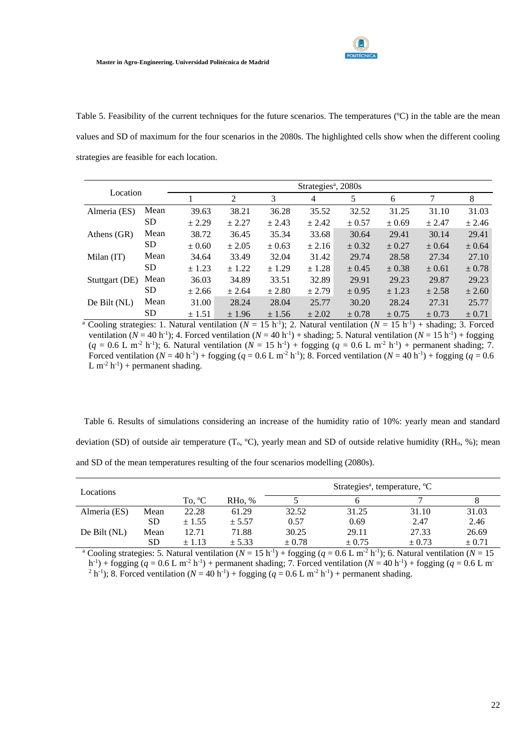Table 5. Feasibility of the current techniques for the future scenarios. The temperatures (°C) in the table are the mean values and SD of maximum for the four scenarios in the 2080s. The highlighted cells show when the different cooling strategies are feasible for each location.

| Location       |           | Strategies <sup>a</sup> , 2080s |        |        |                |            |        |            |        |  |
|----------------|-----------|---------------------------------|--------|--------|----------------|------------|--------|------------|--------|--|
|                |           |                                 | 2      | 3      | $\overline{4}$ | 5          | 6      | 7          | 8      |  |
| Almeria (ES)   | Mean      | 39.63                           | 38.21  | 36.28  | 35.52          | 32.52      | 31.25  | 31.10      | 31.03  |  |
|                | <b>SD</b> | $+2.29$                         | ± 2.27 | ± 2.43 | ± 2.42         | ± 0.57     | ± 0.69 | ± 2.47     | ± 2.46 |  |
| Athens (GR)    | Mean      | 38.72                           | 36.45  | 35.34  | 33.68          | 30.64      | 29.41  | 30.14      | 29.41  |  |
|                | <b>SD</b> | $+0.60$                         | ± 2.05 | ± 0.63 | ± 2.16         | $\pm 0.32$ | ± 0.27 | $\pm 0.64$ | ± 0.64 |  |
| Milan (IT)     | Mean      | 34.64                           | 33.49  | 32.04  | 31.42          | 29.74      | 28.58  | 27.34      | 27.10  |  |
|                | <b>SD</b> | ± 1.23                          | ± 1.22 | ± 1.29 | ± 1.28         | $\pm 0.45$ | ± 0.38 | $\pm 0.61$ | ± 0.78 |  |
| Stuttgart (DE) | Mean      | 36.03                           | 34.89  | 33.51  | 32.89          | 29.91      | 29.23  | 29.87      | 29.23  |  |
|                | SD        | ± 2.66                          | ± 2.64 | ± 2.80 | ± 2.79         | ± 0.95     | ± 1.23 | ± 2.58     | ± 2.60 |  |
| De Bilt (NL)   | Mean      | 31.00                           | 28.24  | 28.04  | 25.77          | 30.20      | 28.24  | 27.31      | 25.77  |  |
|                | SD        | ± 1.51                          | ±1.96  | ± 1.56 | ± 2.02         | $+0.78$    | ± 0.75 | ± 0.73     | ± 0.71 |  |

<sup>a</sup> Cooling strategies: 1. Natural ventilation ( $N = 15$  h<sup>-1</sup>); 2. Natural ventilation ( $N = 15$  h<sup>-1</sup>) + shading; 3. Forced ventilation ( $N = 40$  h<sup>-1</sup>); 4. Forced ventilation ( $N = 40$  h<sup>-1</sup>) + shading; 5. Natural ventilation ( $N = 15$  h<sup>-1</sup>) + fogging  $(q = 0.6 \text{ L m}^2 \text{ h}^2)$ ; 6. Natural ventilation  $(N = 15 \text{ h}^1)$  + fogging  $(q = 0.6 \text{ L m}^2 \text{ h}^1)$  + permanent shading; 7. Forced ventilation ( $N = 40$  h<sup>-1</sup>) + fogging ( $q = 0.6$  L m<sup>-2</sup> h<sup>-1</sup>); 8. Forced ventilation ( $N = 40$  h<sup>-1</sup>) + fogging ( $q = 0.6$ L m<sup>-2</sup> h<sup>-1</sup>) + permanent shading.

Table 6. Results of simulations considering an increase of the humidity ratio of 10%: yearly mean and standard deviation (SD) of outside air temperature  $(T_0, {}^{\circ}C)$ , yearly mean and SD of outside relative humidity (RH<sub>0</sub>, %); mean and SD of the mean temperatures resulting of the four scenarios modelling (2080s).

| Locations    |      |        |           | Strategies <sup>a</sup> , temperature, <sup>o</sup> C |        |        |            |  |  |
|--------------|------|--------|-----------|-------------------------------------------------------|--------|--------|------------|--|--|
|              |      | To. °C | $R$ Ho. % |                                                       |        |        |            |  |  |
| Almeria (ES) | Mean | 22.28  | 61.29     | 32.52                                                 | 31.25  | 31.10  | 31.03      |  |  |
|              | SD   | ± 1.55 | ± 5.57    | 0.57                                                  | 0.69   | 2.47   | 2.46       |  |  |
| De Bilt (NL) | Mean | 12.71  | 71.88     | 30.25                                                 | 29.11  | 27.33  | 26.69      |  |  |
|              | SD   | ± 1.13 | ± 5.33    | ± 0.78                                                | ± 0.75 | ± 0.73 | $\pm 0.71$ |  |  |

<sup>a</sup> Cooling strategies: 5. Natural ventilation ( $N = 15$  h<sup>-1</sup>) + fogging ( $q = 0.6$  L m<sup>-2</sup> h<sup>-1</sup>); 6. Natural ventilation ( $N = 15$ h<sup>-1</sup>) + fogging ( $q = 0.6$  L m<sup>-2</sup> h<sup>-1</sup>) + permanent shading; 7. Forced ventilation ( $N = 40$  h<sup>-1</sup>) + fogging ( $q = 0.6$  L m<sup>-1</sup>) <sup>2</sup> h<sup>-1</sup>); 8. Forced ventilation ( $N = 40$  h<sup>-1</sup>) + fogging ( $q = 0.6$  L m<sup>-2</sup> h<sup>-1</sup>) + permanent shading.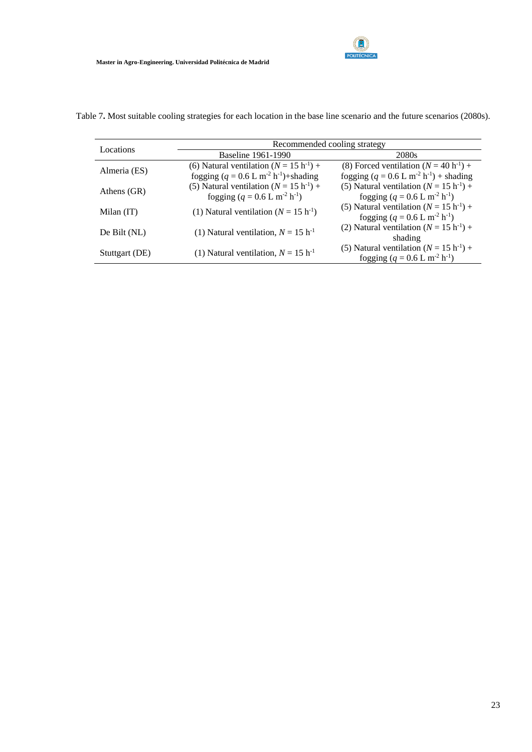

|                | Recommended cooling strategy                                 |                                                                                                                |  |  |  |  |
|----------------|--------------------------------------------------------------|----------------------------------------------------------------------------------------------------------------|--|--|--|--|
| Locations      | Baseline 1961-1990                                           | 2080s                                                                                                          |  |  |  |  |
| Almeria (ES)   | (6) Natural ventilation $(N = 15 \text{ h}^{-1})$ +          | (8) Forced ventilation $(N = 40 \text{ h}^{-1})$ +                                                             |  |  |  |  |
|                | fogging $(q = 0.6 \text{ L m}^{-2} \text{ h}^{-1})$ +shading | fogging ( $q = 0.6$ L m <sup>-2</sup> h <sup>-1</sup> ) + shading                                              |  |  |  |  |
| Athens (GR)    | (5) Natural ventilation $(N = 15 \text{ h}^{-1})$ +          | (5) Natural ventilation $(N = 15 \text{ h}^{-1})$ +                                                            |  |  |  |  |
|                | fogging ( $q = 0.6$ L m <sup>-2</sup> h <sup>-1</sup> )      | fogging ( $q = 0.6$ L m <sup>-2</sup> h <sup>-1</sup> )                                                        |  |  |  |  |
| Milan (IT)     | (1) Natural ventilation ( $N = 15$ h <sup>-1</sup> )         | (5) Natural ventilation $(N = 15 \text{ h}^{-1})$ +<br>fogging ( $q = 0.6$ L m <sup>-2</sup> h <sup>-1</sup> ) |  |  |  |  |
| De Bilt (NL)   | (1) Natural ventilation, $N = 15$ h <sup>-1</sup>            | (2) Natural ventilation $(N = 15 \text{ h}^{-1})$ +<br>shading                                                 |  |  |  |  |
| Stuttgart (DE) | (1) Natural ventilation, $N = 15$ h <sup>-1</sup>            | (5) Natural ventilation $(N = 15 \text{ h}^{-1})$ +<br>fogging $(q = 0.6 \text{ L m}^{-2} \text{ h}^{-1})$     |  |  |  |  |

Table 7**.** Most suitable cooling strategies for each location in the base line scenario and the future scenarios (2080s).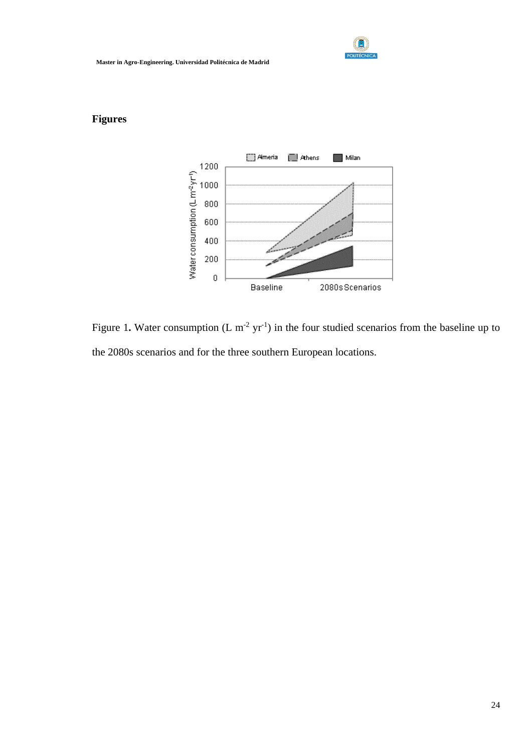



## **Figures**

Figure 1. Water consumption  $(L m<sup>-2</sup> yr<sup>-1</sup>)$  in the four studied scenarios from the baseline up to the 2080s scenarios and for the three southern European locations.